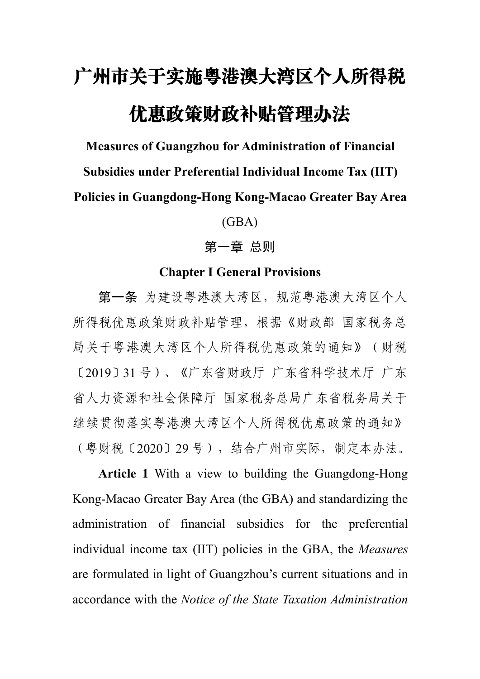# 广州市关于实施粤港澳大湾区个人所得税 优惠政策财政补贴管理办法

**Measures ofGuangzhou for Administration of Financial**

**Subsidies under Preferential Individual Income Tax (IIT)**

**Policies in Guangdong-Hong Kong-Macao Greater Bay Area**

(GBA)

# 第一章 总则

## **Chapter I General Provisions**

第一条 为建设粤港澳大湾区,规范粤港澳大湾区个人 所得税优惠政策财政补贴管理,根据《财政部 国家税务总 局关于粤港澳大湾区个人所得税优惠政策的通知》(财税 〔2019〕31 号)、《广东省财政厅 广东省科学技术厅 广东 省人力资源和社会保障厅 国家税务总局广东省税务局关于 继续贯彻落实粤港澳大湾区个人所得税优惠政策的通知》 (粤财税〔2020〕29 号),结合广州市实际,制定本办法。

**Article 1** With a view to building the Guangdong-Hong Kong-Macao Greater Bay Area (the GBA) and standardizing the administration of financial subsidies for the preferential individual income tax (IIT) policies in the GBA, the *Measures* are formulated in light of Guangzhou's current situations and in accordance with the *Notice of the State Taxation Administration*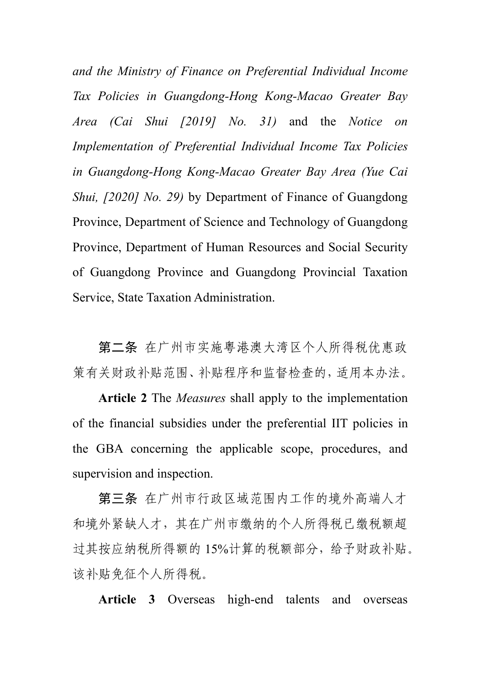*and the Ministry of Finance on Preferential Individual Income Tax Policies in Guangdong-Hong Kong-Macao Greater Bay Area (Cai Shui [2019] No. 31)* and the *Notice on Implementation of Preferential Individual Income Tax Policies in Guangdong-Hong Kong-Macao Greater Bay Area (Yue Cai Shui, [2020] No. 29)* by Department of Finance of Guangdong Province, Department of Science and Technology of Guangdong Province, Department of Human Resources and Social Security of Guangdong Province and Guangdong Provincial Taxation Service, State Taxation Administration.

第二条 在广州市实施粤港澳大湾区个人所得税优惠政 策有关财政补贴范围、补贴程序和监督检查的,适用本办法。

**Article 2** The *Measures* shall apply to the implementation of the financial subsidies under the preferential IIT policies in the GBA concerning the applicable scope, procedures, and supervision and inspection.

第三条 在广州市行政区域范围内工作的境外高端人才 和境外紧缺人才,其在广州市缴纳的个人所得税已缴税额超 过其按应纳税所得额的 15%计算的税额部分,给予财政补贴。 该补贴免征个人所得税。

**Article 3** Overseas high-end talents and overseas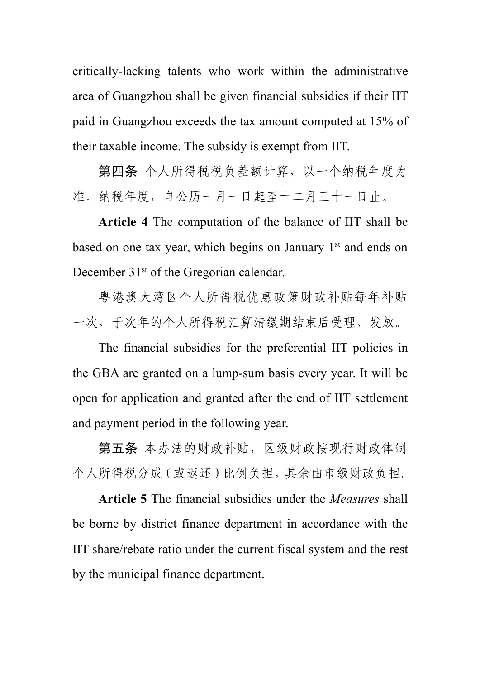critically-lacking talents who work within the administrative area of Guangzhou shall be given financial subsidies if their IIT paid in Guangzhou exceeds the tax amount computed at 15% of their taxable income. The subsidy is exempt from IIT.

第四条 个人所得税税负差额计算,以一个纳税年度为 准。纳税年度,自公历一月一日起至十二月三十一日止。

**Article 4** The computation of the balance of IIT shall be based on one tax year, which begins on January 1<sup>st</sup> and ends on December 31<sup>st</sup> of the Gregorian calendar.

粤港澳大湾区个人所得税优惠政策财政补贴每年补贴 一次,于次年的个人所得税汇算清缴期结束后受理、发放。

The financial subsidies for the preferential IIT policies in the GBA are granted on a lump-sum basis every year. It will be open for application and granted after the end of IIT settlement and payment period in the following year.

第五条 本办法的财政补贴,区级财政按现行财政体制 个人所得税分成(或返还)比例负担,其余由市级财政负担。

**Article 5** The financial subsidies under the *Measures* shall be borne by district finance department in accordance with the IIT share/rebate ratio under the current fiscal system and the rest by the municipal finance department.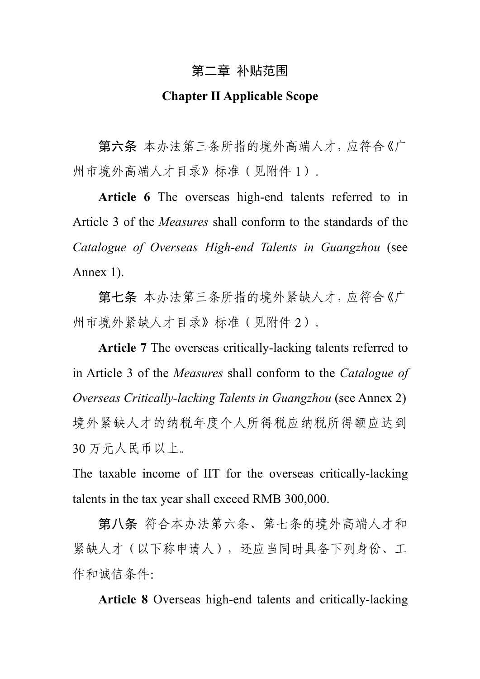# 第二章 补贴范围

## **Chapter IIApplicable Scope**

第六条 本办法第三条所指的境外高端人才,应符合《广 州市境外高端人才目录》标准(见附件 1)。

**Article 6** The overseas high-end talents referred to in Article 3 of the *Measures* shall conform to the standards of the *Catalogue of Overseas High-end Talents in Guangzhou* (see Annex 1).

第七条 本办法第三条所指的境外紧缺人才,应符合《广 州市境外紧缺人才目录》标准(见附件2)。

**Article 7** The overseas critically-lacking talents referred to in Article 3 of the *Measures* shall conform to the *Catalogue of Overseas Critically-lacking Talents in Guangzhou* (see Annex 2) 境外紧缺人才的纳税年度个人所得税应纳税所得额应达到 30 万元人民币以上。

The taxable income of IIT for the overseas critically-lacking talents in the tax year shall exceed RMB 300,000.

第八条 符合本办法第六条、第七条的境外高端人才和 紧缺人才(以下称申请人),还应当同时具备下列身份、工 作和诚信条件:

**Article 8** Overseas high-end talents and critically-lacking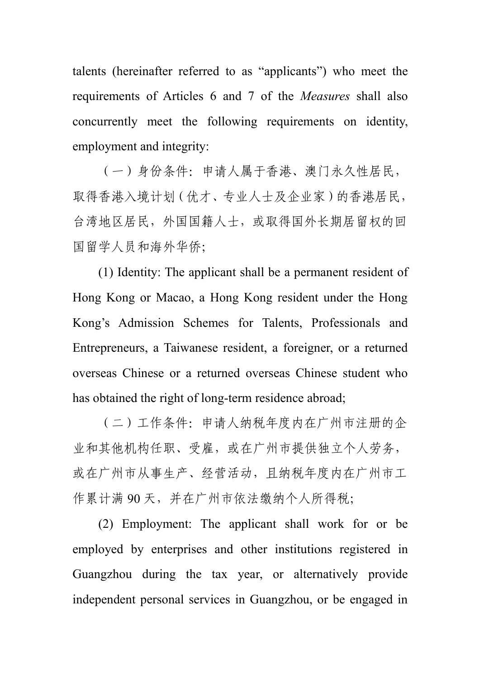talents (hereinafter referred to as "applicants") who meet the requirements of Articles 6 and 7 of the *Measures* shall also concurrently meet the following requirements on identity, employment and integrity:

(一)身份条件:申请人属于香港、澳门永久性居民, 取得香港入境计划(优才、专业人士及企业家)的香港居民, 台湾地区居民,外国国籍人士,或取得国外长期居留权的回 国留学人员和海外华侨;

(1) Identity: The applicant shall be a permanent resident of Hong Kong or Macao, a Hong Kong resident under the Hong Kong's Admission Schemes for Talents, Professionals and Entrepreneurs, a Taiwanese resident, a foreigner, or a returned overseas Chinese or a returned overseas Chinese student who has obtained the right of long-term residence abroad;

(二)工作条件:申请人纳税年度内在广州市注册的企 业和其他机构任职、受雇,或在广州市提供独立个人劳务, 或在广州市从事生产、经营活动,且纳税年度内在广州市工 作累计满 90 天,并在广州市依法缴纳个人所得税;

(2) Employment: The applicant shall work for or be employed by enterprises and other institutions registered in Guangzhou during the tax year, or alternatively provide independent personal services in Guangzhou, or be engaged in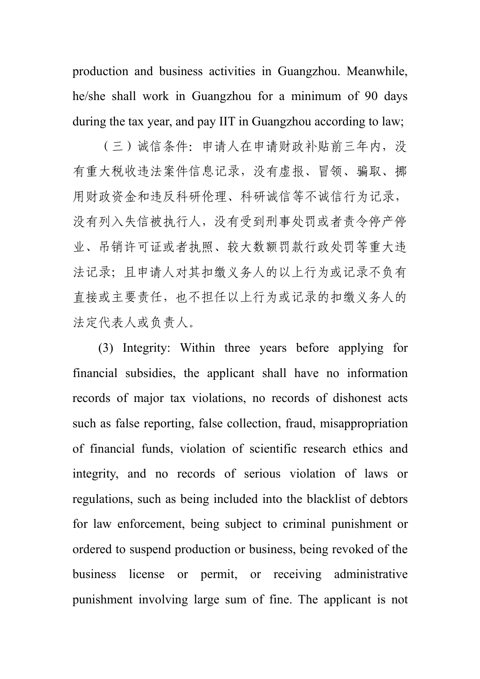production and business activities in Guangzhou. Meanwhile, he/she shall work in Guangzhou for a minimum of 90 days during the tax year, and pay IIT in Guangzhou according to law;

(三)诚信条件:申请人在申请财政补贴前三年内,没 有重大税收违法案件信息记录,没有虚报、冒领、骗取、挪 用财政资金和违反科研伦理、科研诚信等不诚信行为记录, 没有列入失信被执行人,没有受到刑事处罚或者责令停产停 业、吊销许可证或者执照、较大数额罚款行政处罚等重大违 法记录;且申请人对其扣缴义务人的以上行为或记录不负有 直接或主要责任,也不担任以上行为或记录的扣缴义务人的 法定代表人或负责人。

(3) Integrity: Within three years before applying for financial subsidies, the applicant shall have no information records of major tax violations, no records of dishonest acts such as false reporting, false collection, fraud, misappropriation of financial funds, violation of scientific research ethics and integrity, and no records of serious violation of laws or regulations, such as being included into the blacklist of debtors for law enforcement, being subject to criminal punishment or ordered to suspend production or business, being revoked of the business license or permit, or receiving administrative punishment involving large sum of fine. The applicant is not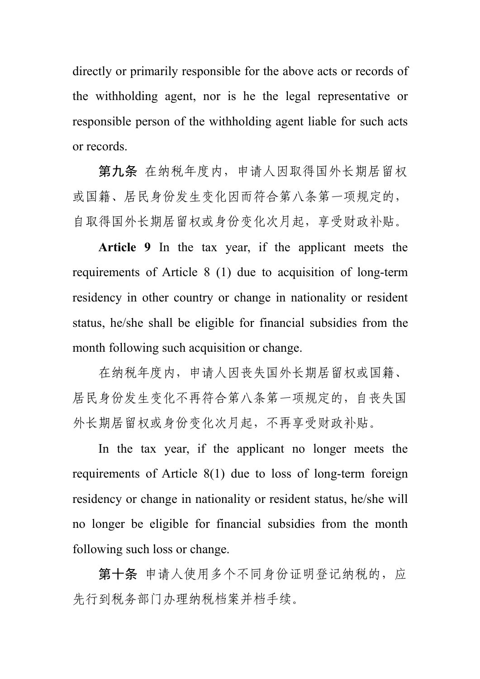directly or primarily responsible for the above acts or records of the withholding agent, nor is he the legal representative or responsible person of the withholding agent liable for such acts or records.

第九条 在纳税年度内,申请人因取得国外长期居留权 或国籍、居民身份发生变化因而符合第八条第一项规定的, 自取得国外长期居留权或身份变化次月起,享受财政补贴。

**Article 9** In the tax year, if the applicant meets the requirements of Article 8 (1) due to acquisition of long-term residency in other country or change in nationality or resident status, he/she shall be eligible for financial subsidies from the month following such acquisition or change.

在纳税年度内,申请人因丧失国外长期居留权或国籍、 居民身份发生变化不再符合第八条第一项规定的,自丧失国 外长期居留权或身份变化次月起,不再享受财政补贴。

In the tax year, if the applicant no longer meets the requirements of Article 8(1) due to loss of long-term foreign residency or change in nationality or resident status, he/she will no longer be eligible for financial subsidies from the month following such loss or change.

第十条 申请人使用多个不同身份证明登记纳税的,应 先行到税务部门办理纳税档案并档手续。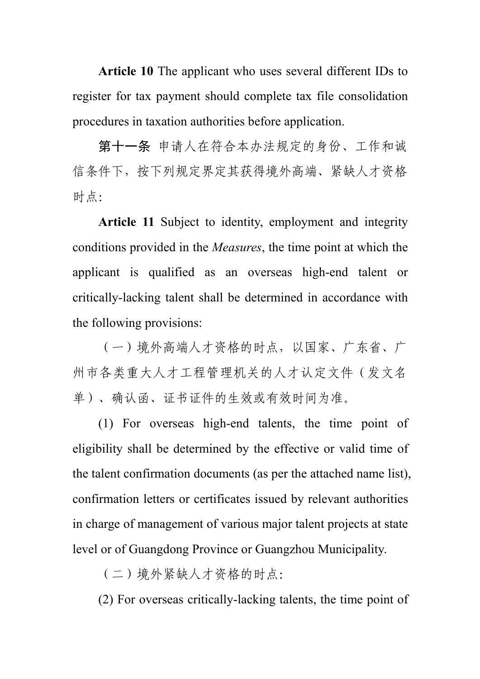Article 10 The applicant who uses several different IDs to register for tax payment should complete tax file consolidation procedures in taxation authorities before application.

第十一条 申请人在符合本办法规定的身份、工作和诚 信条件下,按下列规定界定其获得境外高端、紧缺人才资格 时点: 2008年 2009年 2009年 2009年 2009年 2009年 2009年 2009年 2009年 2009年 2009年 2009年 2009年 2009年 2009年 2009年 2009年 2009年 2009年 2009年 2009年 2009年 2009年 2009年 2009年 2009年 2009年 2009年 2009年 2009年 2009年 2009年 2009年 2009年 2009年 2009年 20

**Article 11** Subject to identity, employment and integrity conditions provided in the *Measures*, the time point at which the applicant is qualified as an overseas high-end talent or critically-lacking talent shall be determined in accordance with the following provisions:

(一)境外高端人才资格的时点,以国家、广东省、广 州市各类重大人才工程管理机关的人才认定文件(发文名 单)、确认函、证书证件的生效或有效时间为准。

(1) For overseas high-end talents, the time point of eligibility shall be determined by the effective or valid time of the talent confirmation documents (as per the attached name list), confirmation letters or certificates issued by relevant authorities in charge of management of various major talent projects at state level or of Guangdong Province or Guangzhou Municipality.

(二)境外紧缺人才资格的时点:

(2) For overseas critically-lacking talents, the time point of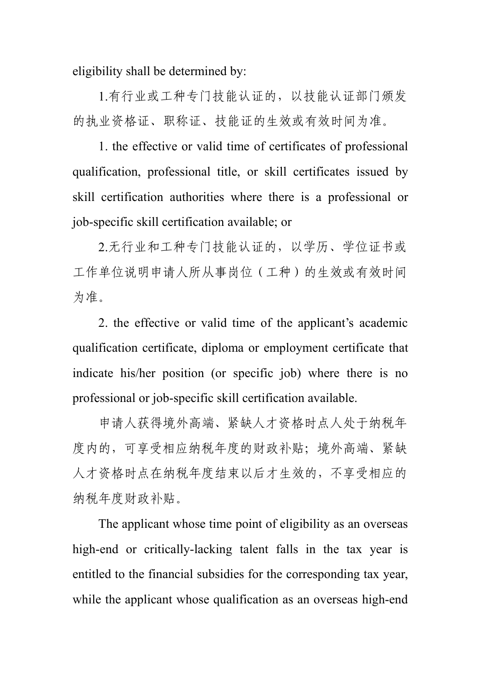eligibility shall be determined by:

1.有行业或工种专门技能认证的,以技能认证部门颁发 的执业资格证、职称证、技能证的生效或有效时间为准。

1. the effective or valid time of certificates of professional qualification, professional title, or skill certificates issued by skill certification authorities where there is a professional or job-specific skill certification available; or

2.无行业和工种专门技能认证的,以学历、学位证书或 工作单位说明申请人所从事岗位(工种)的生效或有效时间 为准。

2. the effective or valid time of the applicant's academic qualification certificate, diploma or employment certificate that indicate his/her position (or specific job) where there is no professional or job-specific skill certification available.

申请人获得境外高端、紧缺人才资格时点人处于纳税年 度内的,可享受相应纳税年度的财政补贴;境外高端、紧缺 人才资格时点在纳税年度结束以后才生效的,不享受相应的 纳税年度财政补贴。

The applicant whose time point of eligibility as an overseas high-end or critically-lacking talent falls in the tax year is entitled to the financial subsidies for the corresponding tax year, while the applicant whose qualification as an overseas high-end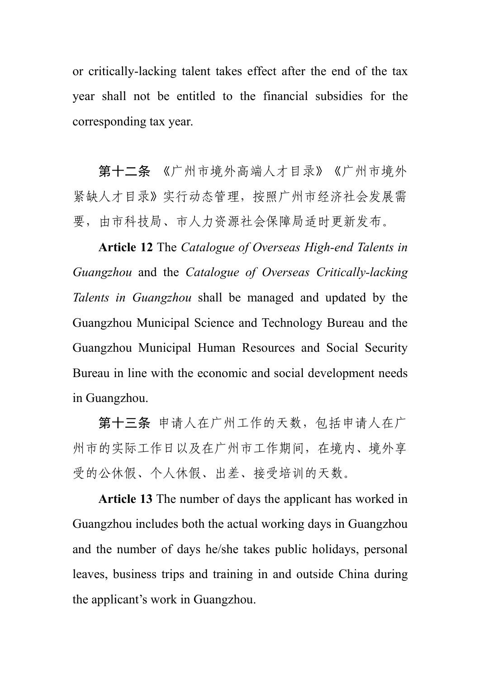or critically-lacking talent takes effect after the end of the tax year shall not be entitled to the financial subsidies for the corresponding tax year.

第十二条 《广州市境外高端人才目录》《广州市境外 紧缺人才目录》实行动态管理,按照广州市经济社会发展需 要,由市科技局、市人力资源社会保障局适时更新发布。

**Article 12** The *Catalogue of Overseas High-end Talents in Guangzhou* and the *Catalogue of Overseas Critically-lacking Talents in Guangzhou* shall be managed and updated by the Guangzhou Municipal Science and Technology Bureau and the Guangzhou Municipal Human Resources and Social Security Bureau in line with the economic and social development needs in Guangzhou.

第十三条 申请人在广州工作的天数, 包括申请人在广 州市的实际工作日以及在广州市工作期间,在境内、境外享 受的公休假、个人休假、出差、接受培训的天数。

**Article 13** The number of days the applicant has worked in Guangzhou includes both the actual working days in Guangzhou and the number of days he/she takes public holidays, personal leaves, business trips and training in and outside China during the applicant's work in Guangzhou.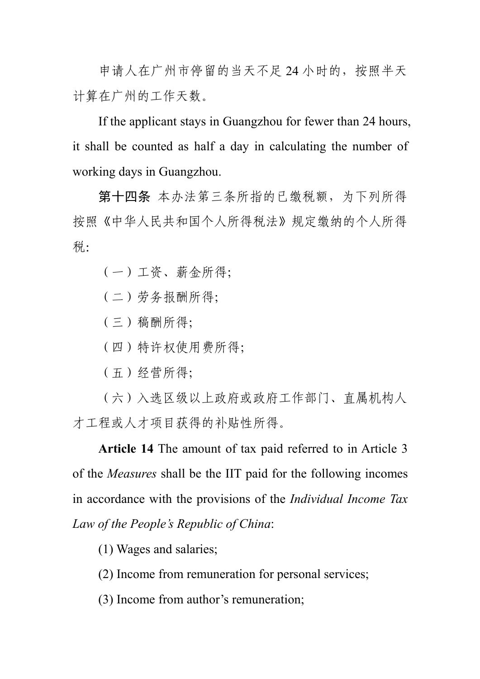申请人在广州市停留的当天不足 24 小时的,按照半天 计算在广州的工作天数。

If the applicant stays in Guangzhou for fewer than 24 hours, it shall be counted as half a day in calculating the number of working days in Guangzhou.

第十四条 本办法第三条所指的已缴税额,为下列所得 按照《中华人民共和国个人所得税法》规定缴纳的个人所得 税: カランド アイスト アイスト しんしゃ しんしゃ しんしゃ しんしゃ しんしゅう しんしゅう しんしゅう しんしゅう しんしゅう しんしゅう

(一)工资、薪金所得;

(二)劳务报酬所得;

(三)稿酬所得;

(四)特许权使用费所得;

(五)经营所得;

(六)入选区级以上政府或政府工作部门、直属机构人 才工程或人才项目获得的补贴性所得。

**Article 14** The amount of tax paid referred to in Article 3 of the *Measures* shall be the IIT paid for the following incomes in accordance with the provisions of the *Individual Income Tax Law of the People's Republic of China*:

(1) Wages and salaries;

(2) Income from remuneration for personal services;

(3) Income from author's remuneration;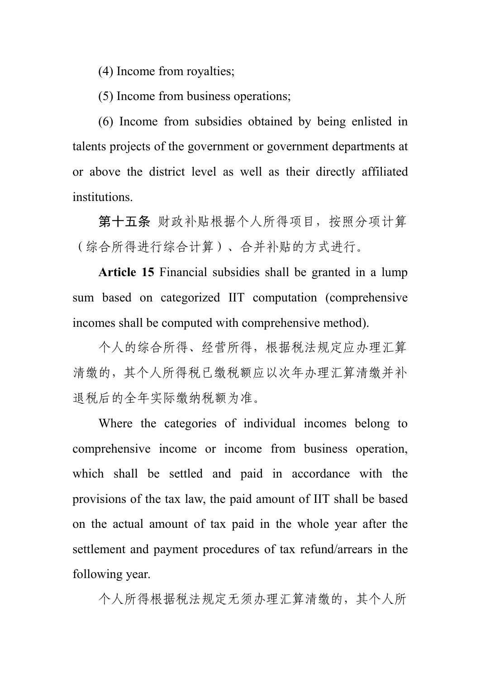(4) Income from royalties;

(5) Income from business operations;

(6) Income from subsidies obtained by being enlisted in talents projects of the government or government departments at or above the district level as well as their directly affiliated institutions.

第十五条 财政补贴根据个人所得项目,按照分项计算 (综合所得进行综合计算)、合并补贴的方式进行。

**Article 15** Financial subsidies shall be granted in a lump sum based on categorized IIT computation (comprehensive incomes shall be computed with comprehensive method).

个人的综合所得、经营所得,根据税法规定应办理汇算 清缴的,其个人所得税已缴税额应以次年办理汇算清缴并补 退税后的全年实际缴纳税额为准。

Where the categories of individual incomes belong to comprehensive income or income from business operation, which shall be settled and paid in accordance with the provisions of the tax law, the paid amount of IIT shall be based on the actual amount of tax paid in the whole year after the settlement and payment procedures of tax refund/arrears in the following year.

个人所得根据税法规定无须办理汇算清缴的,其个人所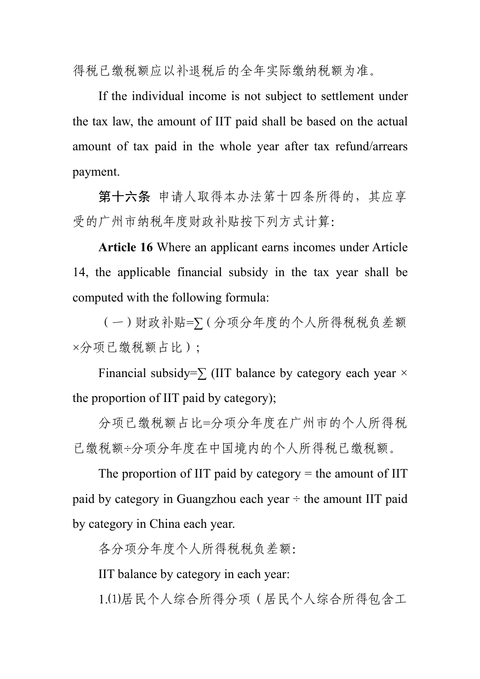得税已缴税额应以补退税后的全年实际缴纳税额为准。

If the individual income is not subject to settlement under the tax law, the amount of IIT paid shall be based on the actual amount of tax paid in the whole year after tax refund/arrears payment.

第十六条 申请人取得本办法第十四条所得的, 其应享 受的广州市纳税年度财政补贴按下列方式计算:

**Article 16** Where an applicant earns incomes under Article 14, the applicable financial subsidy in the tax year shall be computed with the following formula:

(一)财政补贴=∑(分项分年度的个人所得税税负差额 ×分项已缴税额占比);

Financial subsidy= $\sum$  (IIT balance by category each year  $\times$ the proportion of IIT paid by category);

分项已缴税额占比=分项分年度在广州市的个人所得税 已缴税额÷分项分年度在中国境内的个人所得税已缴税额。

The proportion of IIT paid by category  $=$  the amount of IIT paid by category in Guangzhou each year  $\div$  the amount IIT paid by category in China each year.

各分项分年度个人所得税税负差额:

IIT balance by category in each year:

1.⑴居民个人综合所得分项(居民个人综合所得包含工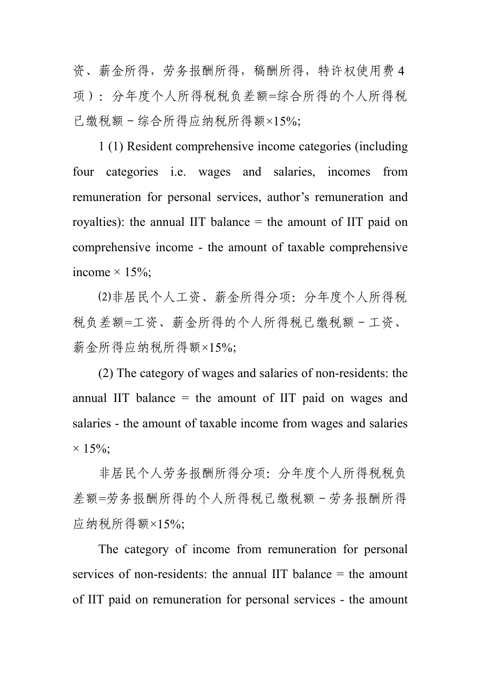资、薪金所得,劳务报酬所得,稿酬所得,特许权使用费4 项):分年度个人所得税税负差额=综合所得的个人所得税 已缴税额-综合所得应纳税所得额×15%;

1 (1) Resident comprehensive income categories (including four categories i.e. wages and salaries, incomes from remuneration for personal services, author's remuneration and royalties): the annual IIT balance = the amount of IIT paid on comprehensive income - the amount of taxable comprehensive income  $\times$  15%;

⑵非居民个人工资、薪金所得分项:分年度个人所得税 税负差额=工资、薪金所得的个人所得税已缴税额-工资、 薪金所得应纳税所得额×15%;

 $(2)$  The category of wages and salaries of non-residents: the annual IIT balance = the amount of IIT paid on wages and salaries - the amount of taxable income from wages and salaries  $\times$  15%;

非居民个人劳务报酬所得分项:分年度个人所得税税负 差额=劳务报酬所得的个人所得税已缴税额-劳务报酬所得 应纳税所得额×15%;

The category of income from remuneration for personal services of non-residents: the annual IIT balance = the amount of IIT paid on remuneration for personal services - the amount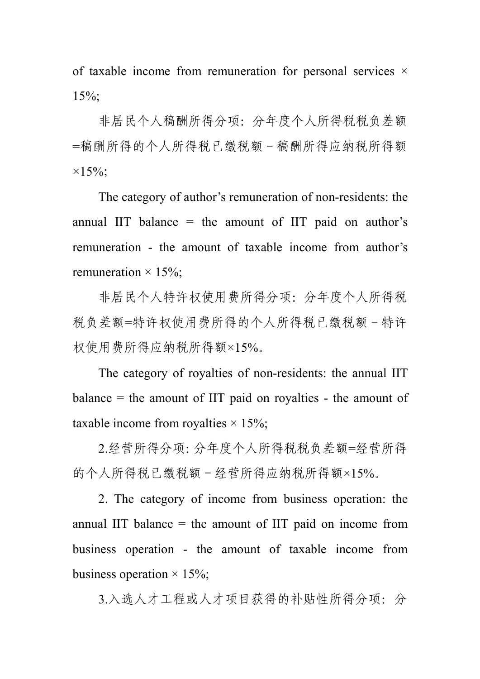of taxable income from remuneration for personal services  $\times$ 15%;

非居民个人稿酬所得分项:分年度个人所得税税负差额 =稿酬所得的个人所得税已缴税额-稿酬所得应纳税所得额  $\times 15\%;$ 

The category of author's remuneration of non-residents: the annual IIT balance = the amount of IIT paid on author's remuneration - the amount of taxable income from author's remuneration  $\times$  15%;

非居民个人特许权使用费所得分项:分年度个人所得税 税负差额=特许权使用费所得的个人所得税已缴税额-特许 权使用费所得应纳税所得额×15%。

The category of royalties of non-residents: the annual IIT  $balance = the amount of IIT paid on rovalties - the amount of$ taxable income from royalties  $\times$  15%;

2.经营所得分项:分年度个人所得税税负差额=经营所得 的个人所得税已缴税额-经营所得应纳税所得额×15%。

2. The category of income from business operation: the annual IIT balance  $=$  the amount of IIT paid on income from business operation - the amount of taxable income from business operation  $\times$  15%;

3.入选人才工程或人才项目获得的补贴性所得分项:分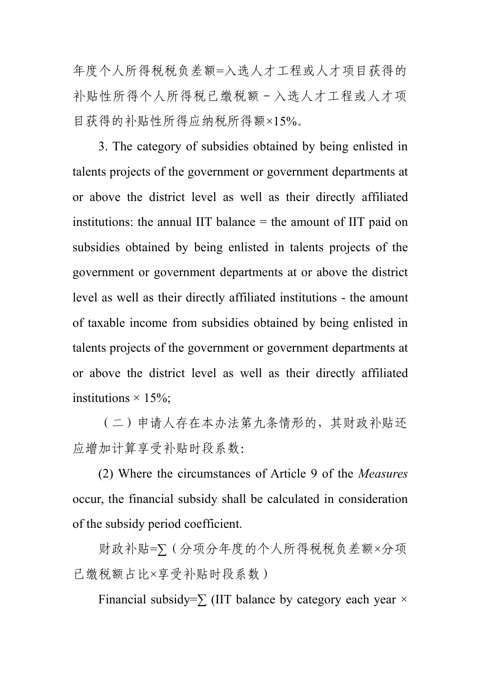年度个人所得税税负差额=入选人才工程或人才项目获得的 补贴性所得个人所得税已缴税额-入选人才工程或人才项 目获得的补贴性所得应纳税所得额×15%。

3. The category of subsidies obtained by being enlisted in talents projects of the government or government departments at or above the district level as well as their directly affiliated institutions: the annual IIT balance = the amount of IIT paid on subsidies obtained by being enlisted in talents projects of the government or government departments at or above the district level as well as their directly affiliated institutions - the amount of taxable income from subsidies obtained by being enlisted in talents projects of the government or government departments at or above the district level as well as their directly affiliated institutions  $\times$  15%;

(二)申请人存在本办法第九条情形的,其财政补贴还 应增加计算享受补贴时段系数:

(2) Where the circumstances of Article 9 of the *Measures* occur, the financial subsidy shall be calculated in consideration of the subsidy period coefficient.

财政补贴=∑(分项分年度的个人所得税税负差额×分项 已缴税额占比×享受补贴时段系数)

Financial subsidy= $\sum$  (IIT balance by category each year  $\times$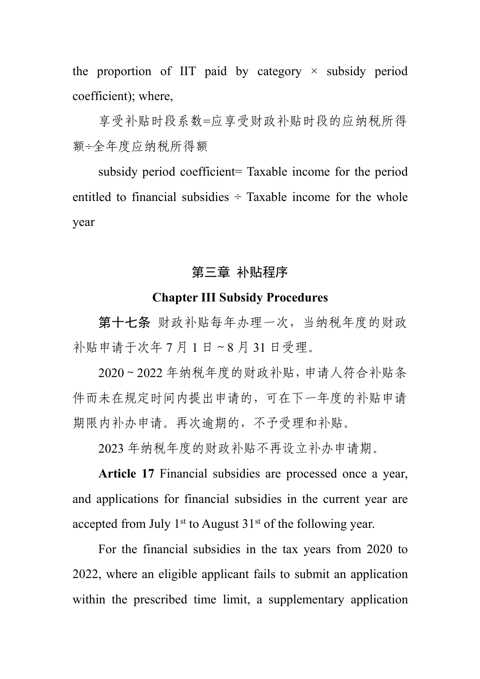the proportion of IIT paid by category  $\times$  subsidy period coefficient); where,

享受补贴时段系数=应享受财政补贴时段的应纳税所得 额÷全年度应纳税所得额

subsidy period coefficient= Taxable income for the period entitled to financial subsidies  $\div$  Taxable income for the whole year

# 第三章 补贴程序

#### **Chapter III Subsidy Procedures**

第十七条 财政补贴每年办理一次,当纳税年度的财政 补贴申请于次年 7 月 1 日~8 月 31 日受理。

2020~2022 年纳税年度的财政补贴,申请人符合补贴条 件而未在规定时间内提出申请的,可在下一年度的补贴申请 期限内补办申请。再次逾期的,不予受理和补贴。

2023 年纳税年度的财政补贴不再设立补办申请期。

**Article 17** Financial subsidies are processed once a year, and applications for financial subsidies in the current year are accepted from July  $1<sup>st</sup>$  to August  $31<sup>st</sup>$  of the following year.

For the financial subsidies in the tax years from 2020 to 2022, where an eligible applicant fails to submit an application within the prescribed time limit, a supplementary application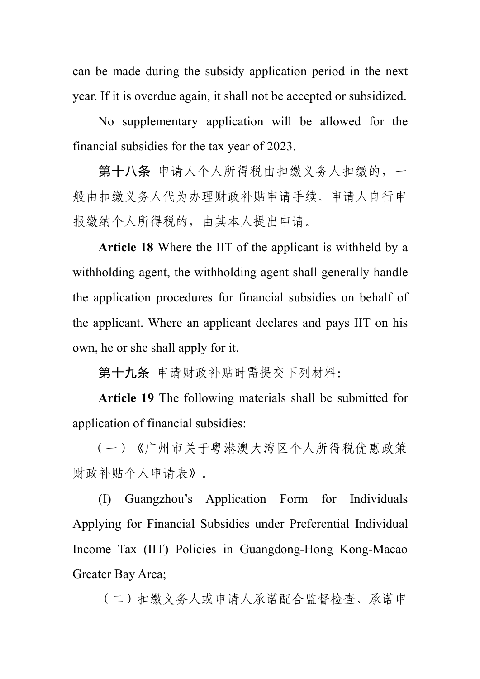can be made during the subsidy application period in the next year. If it is overdue again, it shall not be accepted or subsidized.

No supplementary application will be allowed for the financial subsidies for the tax year of 2023.

第十八条 申请人个人所得税由扣缴义务人扣缴的,一 般由扣缴义务人代为办理财政补贴申请手续。申请人自行申 报缴纳个人所得税的,由其本人提出申请。

**Article 18** Where the IIT of the applicant is withheld by a withholding agent, the withholding agent shall generally handle the application procedures for financial subsidies on behalf of the applicant. Where an applicant declares and pays IIT on his own, he or she shall apply for it.

第十九条 申请财政补贴时需提交下列材料:

**Article 19** The following materials shall be submitted for application of financial subsidies:

(一)《广州市关于粤港澳大湾区个人所得税优惠政策 财政补贴个人申请表》。

(I) Guangzhou's Application Form for Individuals Applying for Financial Subsidies under Preferential Individual Income Tax (IIT) Policies in Guangdong-Hong Kong-Macao Greater Bay Area;

(二)扣缴义务人或申请人承诺配合监督检查、承诺申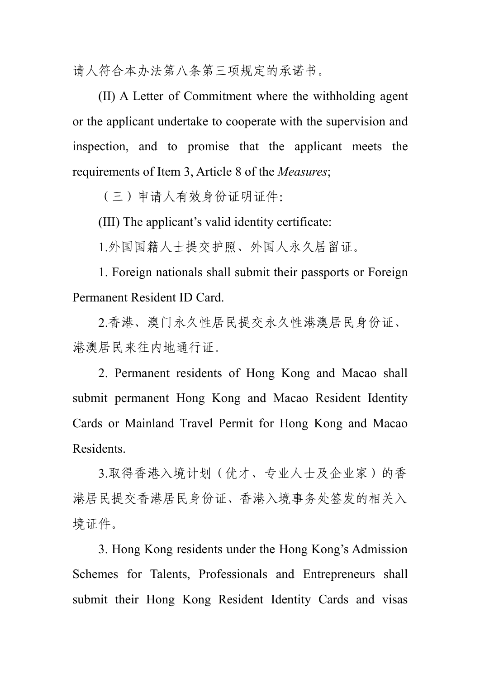请人符合本办法第八条第三项规定的承诺书。

(II) A Letter of Commitment where the withholding agent or the applicant undertake to cooperate with the supervision and inspection, and to promise that the applicant meets the requirements of Item 3, Article 8 of the *Measures*;

(三)申请人有效身份证明证件:

(III) The applicant's valid identity certificate:

1.外国国籍人士提交护照、外国人永久居留证。

1. Foreign nationals shall submit their passports or Foreign Permanent Resident ID Card.

2.香港、澳门永久性居民提交永久性港澳居民身份证、 港澳居民来往内地通行证。

2. Permanent residents of Hong Kong and Macao shall submit permanent Hong Kong and Macao Resident Identity Cards or Mainland Travel Permit for Hong Kong and Macao Residents.

3.取得香港入境计划(优才、专业人士及企业家)的香 港居民提交香港居民身份证、香港入境事务处签发的相关入 境证件。

3. Hong Kong residents under the Hong Kong's Admission Schemes for Talents, Professionals and Entrepreneurs shall submit their Hong Kong Resident Identity Cards and visas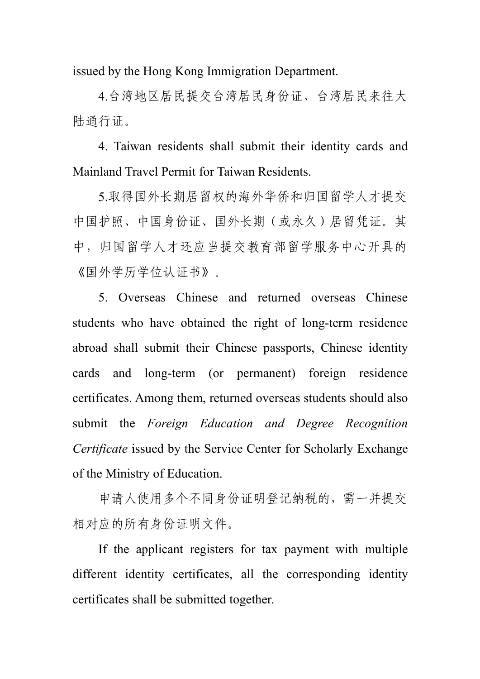issued by the Hong Kong Immigration Department.

4.台湾地区居民提交台湾居民身份证、台湾居民来往大 陆通行证。

4. Taiwan residents shall submit their identity cards and Mainland Travel Permit for Taiwan Residents.

5.取得国外长期居留权的海外华侨和归国留学人才提交 中国护照、中国身份证、国外长期(或永久)居留凭证。其 中,归国留学人才还应当提交教育部留学服务中心开具的 《国外学历学位认证书》。

5. Overseas Chinese and returned overseas Chinese students who have obtained the right of long-term residence abroad shall submit their Chinese passports, Chinese identity cards and long-term (or permanent) foreign residence certificates. Among them, returned overseas students should also submit the *Foreign Education and Degree Recognition Certificate* issued by the Service Center for Scholarly Exchange of the Ministry of Education.

申请人使用多个不同身份证明登记纳税的,需一并提交 相对应的所有身份证明文件。

If the applicant registers for tax payment with multiple different identity certificates, all the corresponding identity certificates shall be submitted together.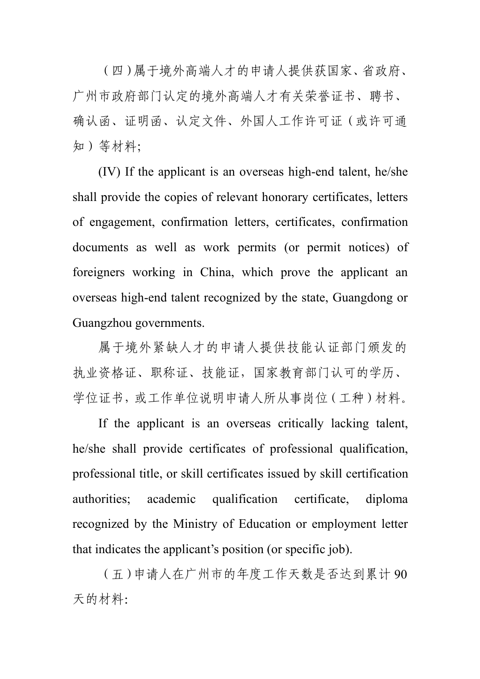(四)属于境外高端人才的申请人提供获国家、省政府、 广州市政府部门认定的境外高端人才有关荣誉证书、聘书、 确认函、证明函、认定文件、外国人工作许可证(或许可通 知)等材料;

(IV) If the applicant is an overseas high-end talent, he/she shall provide the copies of relevant honorary certificates, letters of engagement, confirmation letters, certificates, confirmation documents as well as work permits (or permit notices) of foreigners working in China, which prove the applicant an overseas high-end talent recognized by the state, Guangdong or Guangzhou governments.

属于境外紧缺人才的申请人提供技能认证部门颁发的 执业资格证、职称证、技能证,国家教育部门认可的学历、 学位证书,或工作单位说明申请人所从事岗位(工种)材料。

If the applicant is an overseas critically lacking talent, he/she shall provide certificates of professional qualification, professional title, or skill certificates issued by skill certification authorities; academic qualification certificate, diploma recognized by the Ministry of Education or employment letter that indicates the applicant's position (or specific job).

(五)申请人在广州市的年度工作天数是否达到累计 90 天的材料: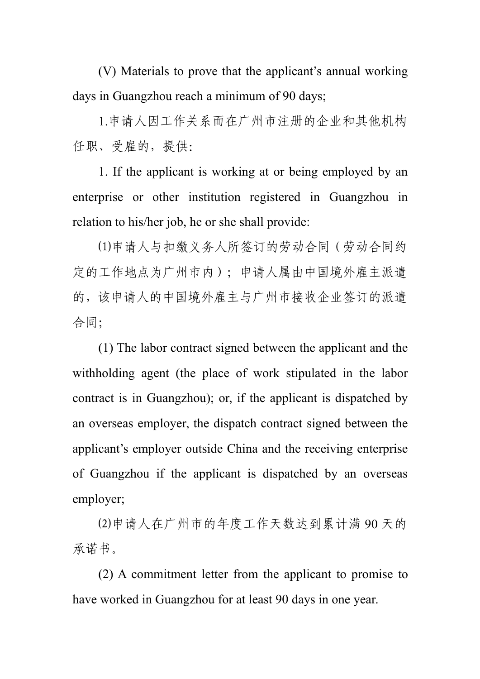(V) Materials to prove that the applicant's annual working days in Guangzhou reach a minimum of 90 days;

1.申请人因工作关系而在广州市注册的企业和其他机构 任职、受雇的,提供:

1. If the applicant is working at or being employed by an enterprise or other institution registered in Guangzhou in relation to his/her job, he or she shall provide:

⑴申请人与扣缴义务人所签订的劳动合同(劳动合同约 定的工作地点为广州市内);申请人属由中国境外雇主派遣 的,该申请人的中国境外雇主与广州市接收企业签订的派遣 合同;

(1) The labor contract signed between the applicant and the withholding agent (the place of work stipulated in the labor contract is in Guangzhou); or, if the applicant is dispatched by an overseas employer, the dispatch contract signed between the applicant's employer outside China and the receiving enterprise of Guangzhou if the applicant is dispatched by an overseas employer;

⑵申请人在广州市的年度工作天数达到累计满 90 天的 承诺书。

(2) A commitment letter from the applicant to promise to have worked in Guangzhou for at least 90 days in one year.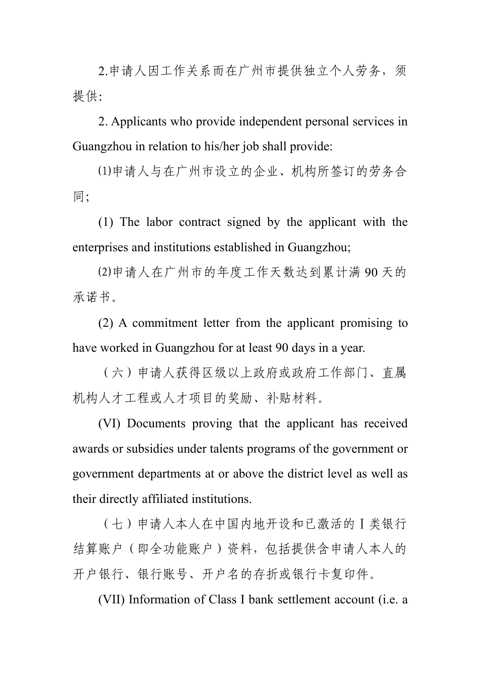2.申请人因工作关系而在广州市提供独立个人劳务,须 **提供: with the contract of the contract of the contract of the contract of the contract of the contract of the c** 

2. Applicants who provide independent personal services in Guangzhou in relation to his/her job shall provide:

⑴申请人与在广州市设立的企业、机构所签订的劳务合 同;

(1) The labor contract signed by the applicant with the enterprises and institutions established in Guangzhou;

⑵申请人在广州市的年度工作天数达到累计满 90 天的 承诺书。

(2) A commitment letter from the applicant promising to have worked in Guangzhou for at least 90 days in a year.

(六)申请人获得区级以上政府或政府工作部门、直属 机构人才工程或人才项目的奖励、补贴材料。

(VI) Documents proving that the applicant has received awards or subsidies under talents programs of the government or government departments at or above the district level as well as their directly affiliated institutions.

(七)申请人本人在中国内地开设和已激活的Ⅰ类银行 结算账户(即全功能账户)资料,包括提供含申请人本人的 开户银行、银行账号、开户名的存折或银行卡复印件。

(VII) Information of Class I bank settlement account (i.e. a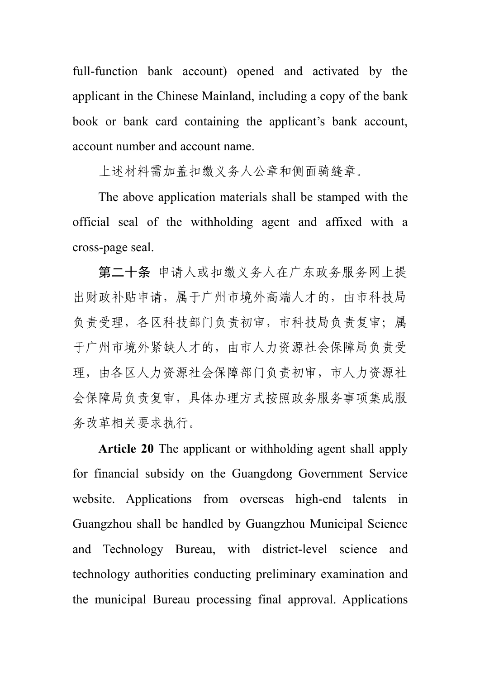full-function bank account) opened and activated by the applicant in the Chinese Mainland, including a copy of the bank book or bank card containing the applicant's bank account, account number and account name.

上述材料需加盖扣缴义务人公章和侧面骑缝章。

The above application materials shall be stamped with the official seal of the withholding agent and affixed with a cross-page seal.

第二十条 申请人或扣缴义务人在广东政务服务网上提 出财政补贴申请,属于广州市境外高端人才的,由市科技局 负责受理,各区科技部门负责初审,市科技局负责复审;属 于广州市境外紧缺人才的,由市人力资源社会保障局负责受 理,由各区人力资源社会保障部门负责初审,市人力资源社 会保障局负责复审,具体办理方式按照政务服务事项集成服 务改革相关要求执行。

**Article 20** The applicant or withholding agent shall apply for financial subsidy on the Guangdong Government Service website. Applications from overseas high-end talents in Guangzhou shall be handled by Guangzhou Municipal Science and Technology Bureau, with district-level science and technology authorities conducting preliminary examination and the municipal Bureau processing final approval. Applications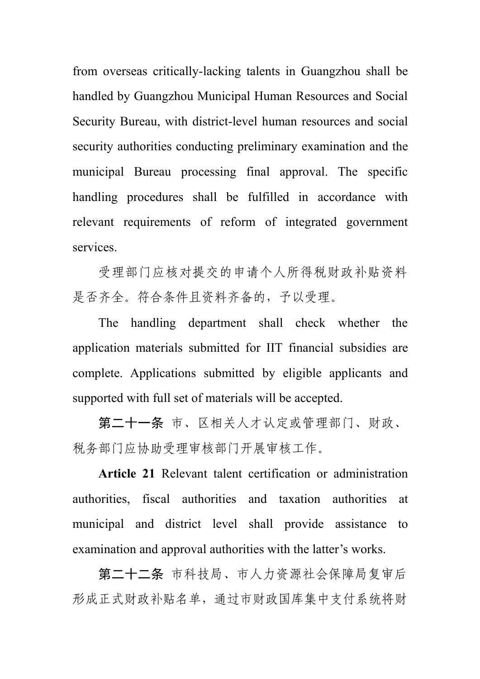from overseas critically-lacking talents in Guangzhou shall be handled by Guangzhou Municipal Human Resources and Social Security Bureau, with district-level human resources and social security authorities conducting preliminary examination and the municipal Bureau processing final approval. The specific handling procedures shall be fulfilled in accordance with relevant requirements of reform of integrated government services.

受理部门应核对提交的申请个人所得税财政补贴资料 是否齐全。符合条件且资料齐备的,予以受理。

The handling department shall check whether the application materials submitted for IIT financial subsidies are complete. Applications submitted by eligible applicants and supported with full set of materials will be accepted.

第二十一条 市、区相关人才认定或管理部门、财政、 税务部门应协助受理审核部门开展审核工作。

**Article 21** Relevant talent certification or administration authorities, fiscal authorities and taxation authorities at municipal and district level shall provide assistance to examination and approval authorities with the latter's works.

第二十二条 市科技局、市人力资源社会保障局复审后 形成正式财政补贴名单,通过市财政国库集中支付系统将财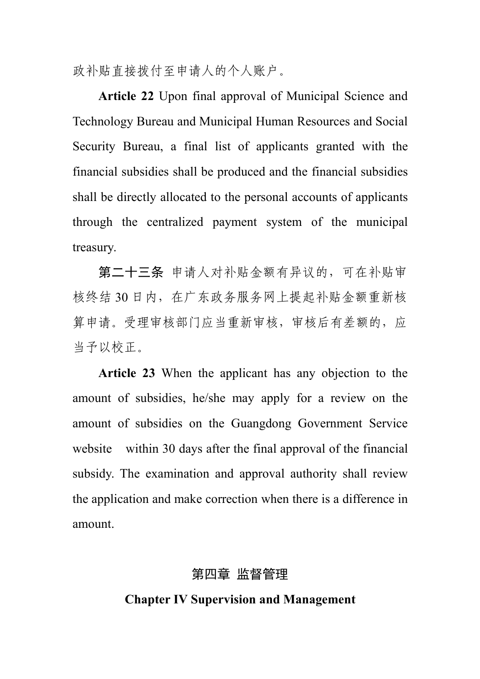政补贴直接拨付至申请人的个人账户。

**Article 22** Upon final approval of Municipal Science and Technology Bureau and Municipal Human Resources and Social Security Bureau, a final list of applicants granted with the financial subsidies shall be produced and the financial subsidies shall be directly allocated to the personal accounts of applicants through the centralized payment system of the municipal treasury.

第二十三条 申请人对补贴金额有异议的,可在补贴审 核终结 30 日内,在广东政务服务网上提起补贴金额重新核 算申请。受理审核部门应当重新审核,审核后有差额的,应 当予以校正。

**Article 23** When the applicant has any objection to the amount of subsidies, he/she may apply for a review on the amount of subsidies on the Guangdong Government Service website within 30 days after the final approval of the financial subsidy. The examination and approval authority shall review the application and make correction when there is a difference in amount.

# 第四章 监督管理

#### **Chapter IV Supervision and Management**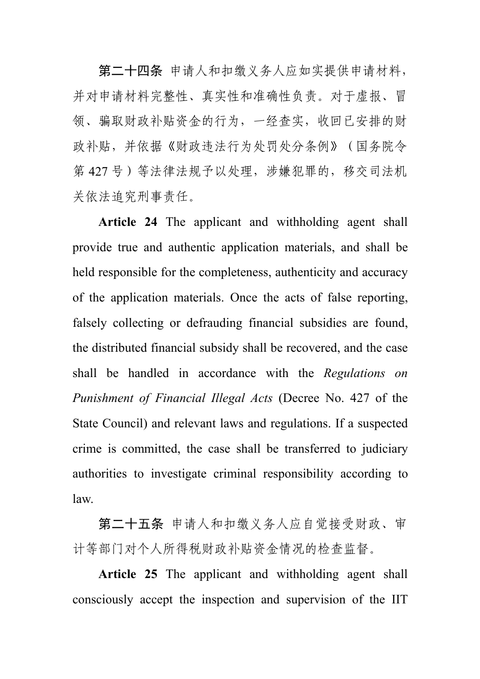第二十四条 申请人和扣缴义务人应如实提供申请材料, 并对申请材料完整性、真实性和准确性负责。对于虚报、冒 领、骗取财政补贴资金的行为,一经查实,收回已安排的财 政补贴,并依据《财政违法行为处罚处分条例》(国务院令 第427号)等法律法规予以处理,涉嫌犯罪的,移交司法机 关依法追究刑事责任。

**Article 24** The applicant and withholding agent shall provide true and authentic application materials, and shall be held responsible for the completeness, authenticity and accuracy of the application materials. Once the acts of false reporting, falsely collecting or defrauding financial subsidies are found, the distributed financial subsidy shall be recovered, and the case shall be handled in accordance with the *Regulations on Punishment of Financial Illegal Acts* (Decree No. 427 of the State Council) and relevant laws and regulations. If a suspected crime is committed, the case shall be transferred to judiciary authorities to investigate criminal responsibility according to law.

第二十五条 申请人和扣缴义务人应自觉接受财政、审 计等部门对个人所得税财政补贴资金情况的检查监督。

**Article 25** The applicant and withholding agent shall consciously accept the inspection and supervision of the IIT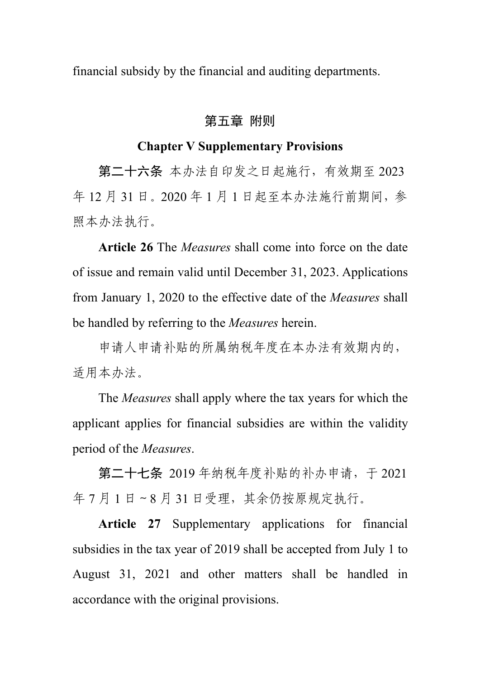financial subsidy by the financial and auditing departments.

# 第五章 附则

#### **Chapter V Supplementary Provisions**

第二十六条 本办法自印发之日起施行,有效期至 2023 年 12 月 31 日。2020 年 1 月 1 日起至本办法施行前期间,参 照本办法执行。

**Article 26** The *Measures* shall come into force on the date of issue and remain valid until December 31, 2023. Applications from January 1, 2020 to the effective date of the *Measures* shall be handled by referring to the *Measures* herein.

申请人申请补贴的所属纳税年度在本办法有效期内的, 适用本办法。

The *Measures* shall apply where the tax years for which the applicant applies for financial subsidies are within the validity period of the *Measures*.

第二十七条 2019 年纳税年度补贴的补办申请,于 2021 年 7 月 1 日 ~ 8 月 31 日受理, 其余仍按原规定执行。

**Article 27** Supplementary applications for financial subsidies in the tax year of 2019 shall be accepted from July 1 to August 31, 2021 and other matters shall be handled in accordance with the original provisions.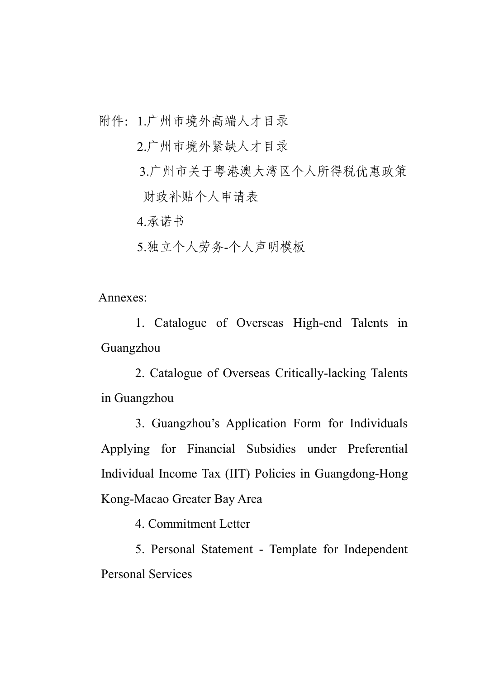附件:1.广州市境外高端人才目录

2.广州市境外紧缺人才目录

3.广州市关于粤港澳大湾区个人所得税优惠政策 财政补贴个人申请表

4.承诺书

5.独立个人劳务-个人声明模板

Annexes:

1. Catalogue of Overseas High-end Talents in Guangzhou

2. Catalogue of Overseas Critically-lacking Talents in Guangzhou

3. Guangzhou's Application Form for Individuals Applying for Financial Subsidies under Preferential Individual Income Tax (IIT) Policies in Guangdong-Hong Kong-Macao Greater Bay Area

4. Commitment Letter

5. Personal Statement - Template for Independent Personal Services